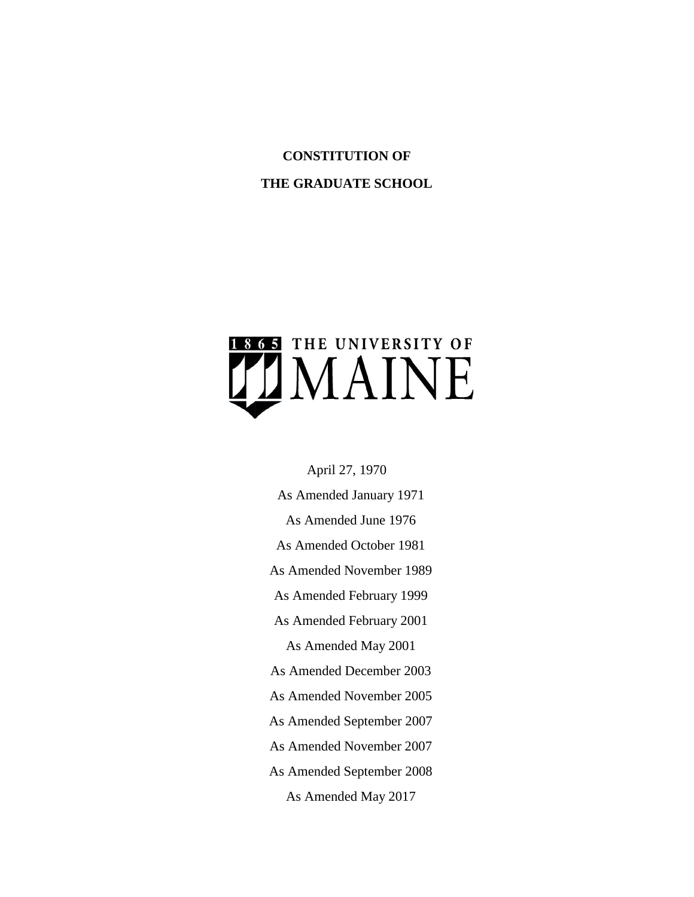# **CONSTITUTION OF**

## **THE GRADUATE SCHOOL**



April 27, 1970

As Amended January 1971 As Amended June 1976 As Amended October 1981 As Amended November 1989 As Amended February 1999 As Amended February 2001 As Amended May 2001 As Amended December 2003 As Amended November 2005 As Amended September 2007 As Amended November 2007 As Amended September 2008 As Amended May 2017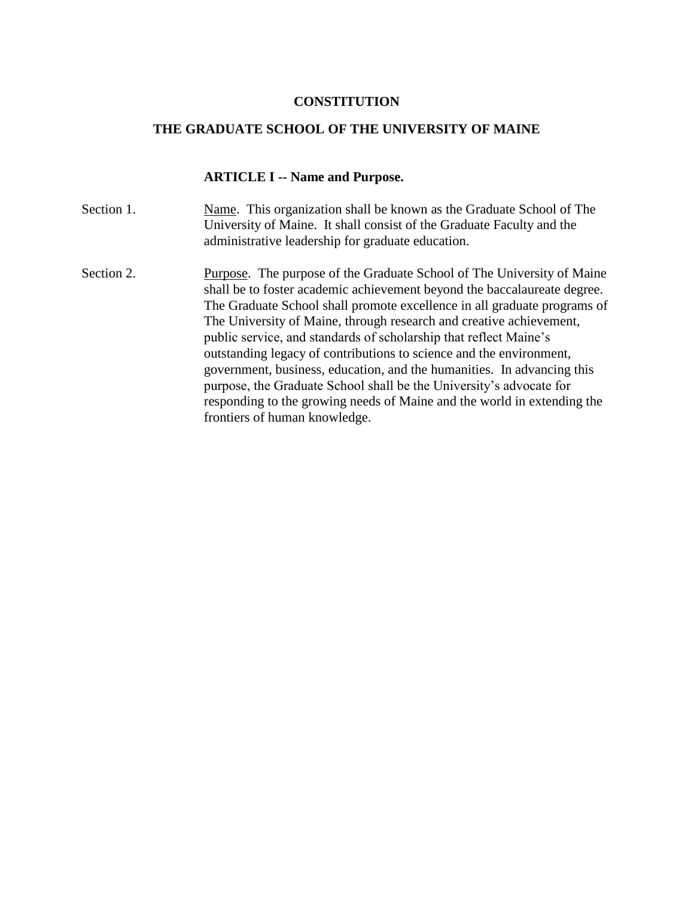#### **CONSTITUTION**

#### **THE GRADUATE SCHOOL OF THE UNIVERSITY OF MAINE**

#### **ARTICLE I -- Name and Purpose.**

- Section 1. Name. This organization shall be known as the Graduate School of The University of Maine. It shall consist of the Graduate Faculty and the administrative leadership for graduate education.
- Section 2. Purpose. The purpose of the Graduate School of The University of Maine shall be to foster academic achievement beyond the baccalaureate degree. The Graduate School shall promote excellence in all graduate programs of The University of Maine, through research and creative achievement, public service, and standards of scholarship that reflect Maine's outstanding legacy of contributions to science and the environment, government, business, education, and the humanities. In advancing this purpose, the Graduate School shall be the University's advocate for responding to the growing needs of Maine and the world in extending the frontiers of human knowledge.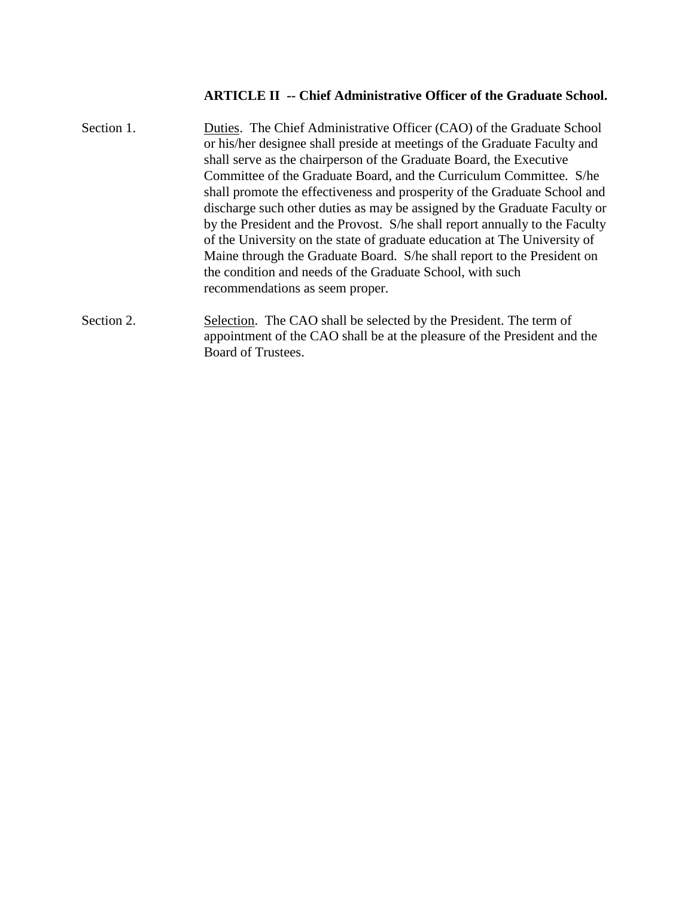## **ARTICLE II -- Chief Administrative Officer of the Graduate School.**

| Section 1. | Duties. The Chief Administrative Officer (CAO) of the Graduate School<br>or his/her designee shall preside at meetings of the Graduate Faculty and<br>shall serve as the chairperson of the Graduate Board, the Executive<br>Committee of the Graduate Board, and the Curriculum Committee. S/he<br>shall promote the effectiveness and prosperity of the Graduate School and<br>discharge such other duties as may be assigned by the Graduate Faculty or<br>by the President and the Provost. S/he shall report annually to the Faculty<br>of the University on the state of graduate education at The University of<br>Maine through the Graduate Board. S/he shall report to the President on<br>the condition and needs of the Graduate School, with such<br>recommendations as seem proper. |
|------------|---------------------------------------------------------------------------------------------------------------------------------------------------------------------------------------------------------------------------------------------------------------------------------------------------------------------------------------------------------------------------------------------------------------------------------------------------------------------------------------------------------------------------------------------------------------------------------------------------------------------------------------------------------------------------------------------------------------------------------------------------------------------------------------------------|
| Section 2. | Selection. The CAO shall be selected by the President. The term of<br>appointment of the CAO shall be at the pleasure of the President and the<br>Board of Trustees.                                                                                                                                                                                                                                                                                                                                                                                                                                                                                                                                                                                                                              |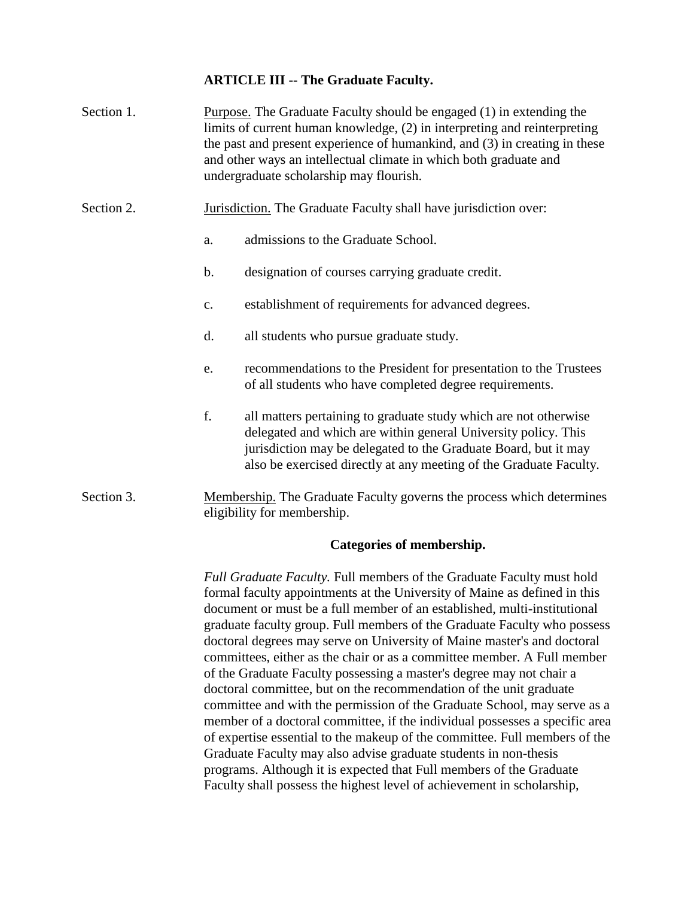### **ARTICLE III -- The Graduate Faculty.**

- Section 1. Purpose. The Graduate Faculty should be engaged (1) in extending the limits of current human knowledge, (2) in interpreting and reinterpreting the past and present experience of humankind, and (3) in creating in these and other ways an intellectual climate in which both graduate and undergraduate scholarship may flourish.
- Section 2. Jurisdiction. The Graduate Faculty shall have jurisdiction over:
	- a. admissions to the Graduate School.
	- b. designation of courses carrying graduate credit.
	- c. establishment of requirements for advanced degrees.
	- d. all students who pursue graduate study.
	- e. recommendations to the President for presentation to the Trustees of all students who have completed degree requirements.
	- f. all matters pertaining to graduate study which are not otherwise delegated and which are within general University policy. This jurisdiction may be delegated to the Graduate Board, but it may also be exercised directly at any meeting of the Graduate Faculty.
- Section 3. Membership. The Graduate Faculty governs the process which determines eligibility for membership.

### **Categories of membership.**

*Full Graduate Faculty.* Full members of the Graduate Faculty must hold formal faculty appointments at the University of Maine as defined in this document or must be a full member of an established, multi-institutional graduate faculty group. Full members of the Graduate Faculty who possess doctoral degrees may serve on University of Maine master's and doctoral committees, either as the chair or as a committee member. A Full member of the Graduate Faculty possessing a master's degree may not chair a doctoral committee, but on the recommendation of the unit graduate committee and with the permission of the Graduate School, may serve as a member of a doctoral committee, if the individual possesses a specific area of expertise essential to the makeup of the committee. Full members of the Graduate Faculty may also advise graduate students in non-thesis programs. Although it is expected that Full members of the Graduate Faculty shall possess the highest level of achievement in scholarship,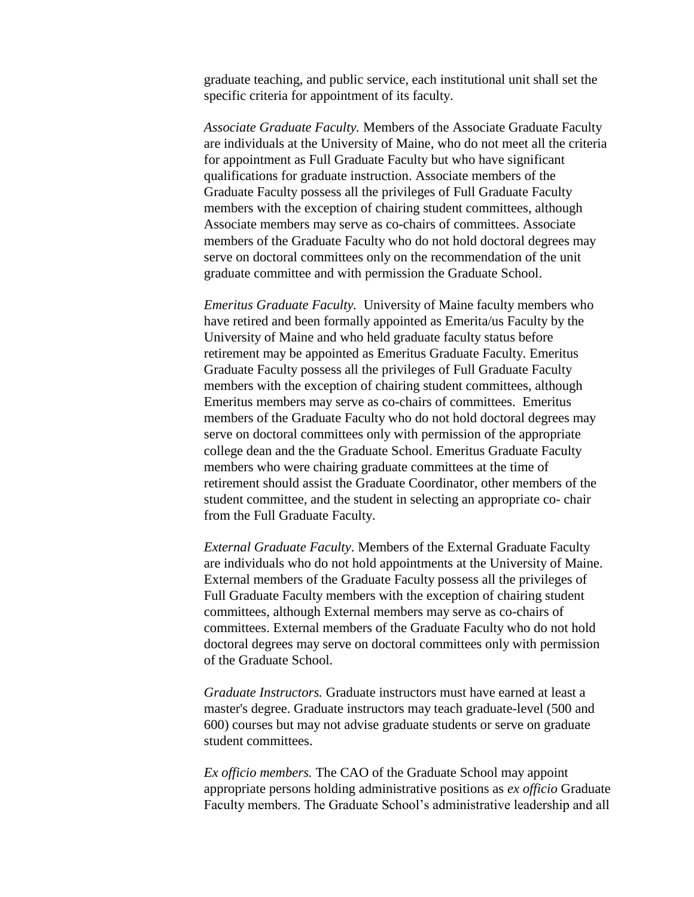graduate teaching, and public service, each institutional unit shall set the specific criteria for appointment of its faculty.

*Associate Graduate Faculty.* Members of the Associate Graduate Faculty are individuals at the University of Maine, who do not meet all the criteria for appointment as Full Graduate Faculty but who have significant qualifications for graduate instruction. Associate members of the Graduate Faculty possess all the privileges of Full Graduate Faculty members with the exception of chairing student committees, although Associate members may serve as co-chairs of committees. Associate members of the Graduate Faculty who do not hold doctoral degrees may serve on doctoral committees only on the recommendation of the unit graduate committee and with permission the Graduate School.

*Emeritus Graduate Faculty.* University of Maine faculty members who have retired and been formally appointed as Emerita/us Faculty by the University of Maine and who held graduate faculty status before retirement may be appointed as Emeritus Graduate Faculty. Emeritus Graduate Faculty possess all the privileges of Full Graduate Faculty members with the exception of chairing student committees, although Emeritus members may serve as co-chairs of committees. Emeritus members of the Graduate Faculty who do not hold doctoral degrees may serve on doctoral committees only with permission of the appropriate college dean and the the Graduate School. Emeritus Graduate Faculty members who were chairing graduate committees at the time of retirement should assist the Graduate Coordinator, other members of the student committee, and the student in selecting an appropriate co- chair from the Full Graduate Faculty.

*External Graduate Faculty*. Members of the External Graduate Faculty are individuals who do not hold appointments at the University of Maine. External members of the Graduate Faculty possess all the privileges of Full Graduate Faculty members with the exception of chairing student committees, although External members may serve as co-chairs of committees. External members of the Graduate Faculty who do not hold doctoral degrees may serve on doctoral committees only with permission of the Graduate School.

*Graduate Instructors.* Graduate instructors must have earned at least a master's degree. Graduate instructors may teach graduate-level (500 and 600) courses but may not advise graduate students or serve on graduate student committees.

*Ex officio members.* The CAO of the Graduate School may appoint appropriate persons holding administrative positions as *ex officio* Graduate Faculty members. The Graduate School's administrative leadership and all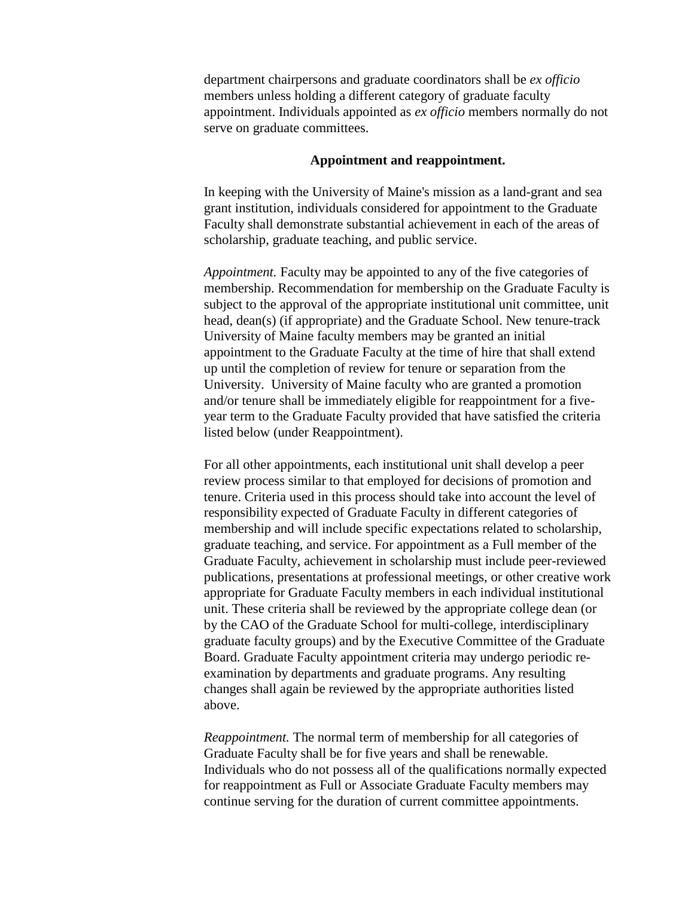department chairpersons and graduate coordinators shall be *ex officio*  members unless holding a different category of graduate faculty appointment. Individuals appointed as *ex officio* members normally do not serve on graduate committees.

#### **Appointment and reappointment.**

In keeping with the University of Maine's mission as a land-grant and sea grant institution, individuals considered for appointment to the Graduate Faculty shall demonstrate substantial achievement in each of the areas of scholarship, graduate teaching, and public service.

*Appointment.* Faculty may be appointed to any of the five categories of membership. Recommendation for membership on the Graduate Faculty is subject to the approval of the appropriate institutional unit committee, unit head, dean(s) (if appropriate) and the Graduate School. New tenure-track University of Maine faculty members may be granted an initial appointment to the Graduate Faculty at the time of hire that shall extend up until the completion of review for tenure or separation from the University. University of Maine faculty who are granted a promotion and/or tenure shall be immediately eligible for reappointment for a fiveyear term to the Graduate Faculty provided that have satisfied the criteria listed below (under Reappointment).

For all other appointments, each institutional unit shall develop a peer review process similar to that employed for decisions of promotion and tenure. Criteria used in this process should take into account the level of responsibility expected of Graduate Faculty in different categories of membership and will include specific expectations related to scholarship, graduate teaching, and service. For appointment as a Full member of the Graduate Faculty, achievement in scholarship must include peer-reviewed publications, presentations at professional meetings, or other creative work appropriate for Graduate Faculty members in each individual institutional unit. These criteria shall be reviewed by the appropriate college dean (or by the CAO of the Graduate School for multi-college, interdisciplinary graduate faculty groups) and by the Executive Committee of the Graduate Board. Graduate Faculty appointment criteria may undergo periodic reexamination by departments and graduate programs. Any resulting changes shall again be reviewed by the appropriate authorities listed above.

*Reappointment.* The normal term of membership for all categories of Graduate Faculty shall be for five years and shall be renewable. Individuals who do not possess all of the qualifications normally expected for reappointment as Full or Associate Graduate Faculty members may continue serving for the duration of current committee appointments.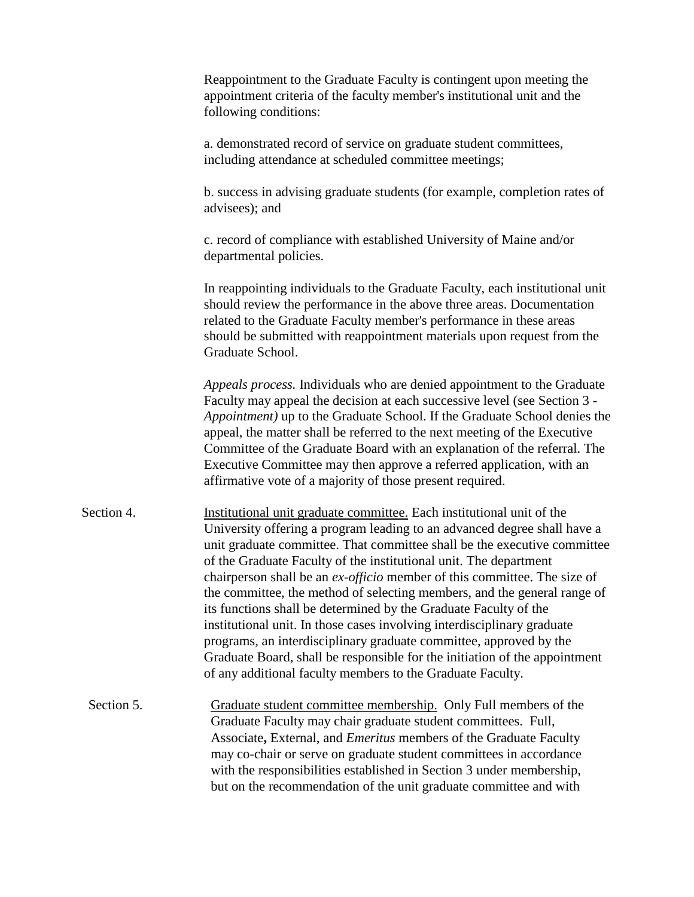Reappointment to the Graduate Faculty is contingent upon meeting the appointment criteria of the faculty member's institutional unit and the following conditions: a. demonstrated record of service on graduate student committees, including attendance at scheduled committee meetings; b. success in advising graduate students (for example, completion rates of advisees); and c. record of compliance with established University of Maine and/or departmental policies. In reappointing individuals to the Graduate Faculty, each institutional unit should review the performance in the above three areas. Documentation related to the Graduate Faculty member's performance in these areas should be submitted with reappointment materials upon request from the Graduate School. *Appeals process.* Individuals who are denied appointment to the Graduate Faculty may appeal the decision at each successive level (see Section 3 *- Appointment)* up to the Graduate School. If the Graduate School denies the appeal, the matter shall be referred to the next meeting of the Executive Committee of the Graduate Board with an explanation of the referral. The Executive Committee may then approve a referred application, with an affirmative vote of a majority of those present required. Section 4. Institutional unit graduate committee. Each institutional unit of the University offering a program leading to an advanced degree shall have a unit graduate committee. That committee shall be the executive committee of the Graduate Faculty of the institutional unit. The department chairperson shall be an *ex-officio* member of this committee. The size of the committee, the method of selecting members, and the general range of its functions shall be determined by the Graduate Faculty of the institutional unit. In those cases involving interdisciplinary graduate programs, an interdisciplinary graduate committee, approved by the Graduate Board, shall be responsible for the initiation of the appointment of any additional faculty members to the Graduate Faculty. Section 5. Graduate student committee membership. Only Full members of the Graduate Faculty may chair graduate student committees. Full, Associate**,** External, and *Emeritus* members of the Graduate Faculty may co-chair or serve on graduate student committees in accordance with the responsibilities established in Section 3 under membership, but on the recommendation of the unit graduate committee and with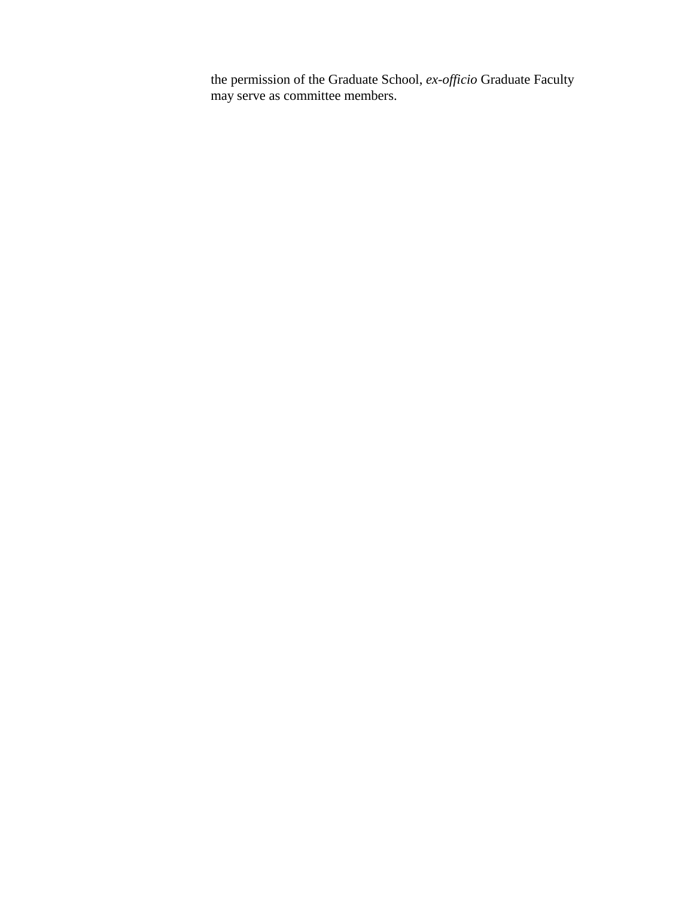the permission of the Graduate School, *ex-officio* Graduate Faculty may serve as committee members.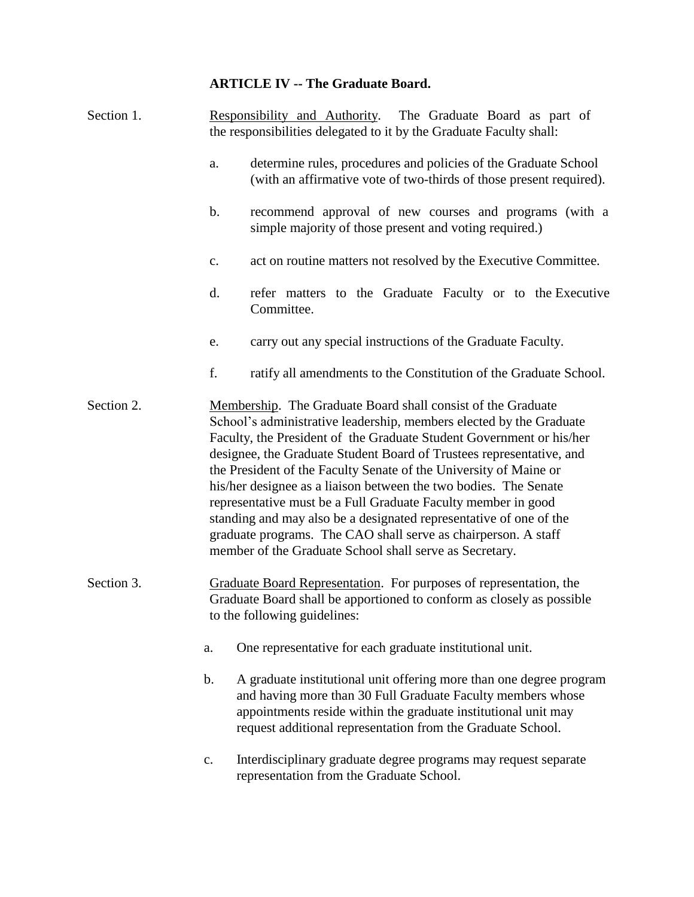## **ARTICLE IV -- The Graduate Board.**

| Section 1. |               | Responsibility and Authority. The Graduate Board as part of<br>the responsibilities delegated to it by the Graduate Faculty shall:                                                                                                                                                                                                                                                                                                                                                                                                                                                                                                                                                               |
|------------|---------------|--------------------------------------------------------------------------------------------------------------------------------------------------------------------------------------------------------------------------------------------------------------------------------------------------------------------------------------------------------------------------------------------------------------------------------------------------------------------------------------------------------------------------------------------------------------------------------------------------------------------------------------------------------------------------------------------------|
|            | a.            | determine rules, procedures and policies of the Graduate School<br>(with an affirmative vote of two-thirds of those present required).                                                                                                                                                                                                                                                                                                                                                                                                                                                                                                                                                           |
|            | $\mathbf b$ . | recommend approval of new courses and programs (with a<br>simple majority of those present and voting required.)                                                                                                                                                                                                                                                                                                                                                                                                                                                                                                                                                                                 |
|            | c.            | act on routine matters not resolved by the Executive Committee.                                                                                                                                                                                                                                                                                                                                                                                                                                                                                                                                                                                                                                  |
|            | d.            | refer matters to the Graduate Faculty or to the Executive<br>Committee.                                                                                                                                                                                                                                                                                                                                                                                                                                                                                                                                                                                                                          |
|            | e.            | carry out any special instructions of the Graduate Faculty.                                                                                                                                                                                                                                                                                                                                                                                                                                                                                                                                                                                                                                      |
|            | f.            | ratify all amendments to the Constitution of the Graduate School.                                                                                                                                                                                                                                                                                                                                                                                                                                                                                                                                                                                                                                |
| Section 2. |               | Membership. The Graduate Board shall consist of the Graduate<br>School's administrative leadership, members elected by the Graduate<br>Faculty, the President of the Graduate Student Government or his/her<br>designee, the Graduate Student Board of Trustees representative, and<br>the President of the Faculty Senate of the University of Maine or<br>his/her designee as a liaison between the two bodies. The Senate<br>representative must be a Full Graduate Faculty member in good<br>standing and may also be a designated representative of one of the<br>graduate programs. The CAO shall serve as chairperson. A staff<br>member of the Graduate School shall serve as Secretary. |
| Section 3. |               | Graduate Board Representation. For purposes of representation, the<br>Graduate Board shall be apportioned to conform as closely as possible<br>to the following guidelines:                                                                                                                                                                                                                                                                                                                                                                                                                                                                                                                      |
|            | a.            | One representative for each graduate institutional unit.                                                                                                                                                                                                                                                                                                                                                                                                                                                                                                                                                                                                                                         |
|            | $\mathbf b$ . | A graduate institutional unit offering more than one degree program<br>and having more than 30 Full Graduate Faculty members whose<br>appointments reside within the graduate institutional unit may<br>request additional representation from the Graduate School.                                                                                                                                                                                                                                                                                                                                                                                                                              |
|            | $\mathbf{C}.$ | Interdisciplinary graduate degree programs may request separate<br>representation from the Graduate School.                                                                                                                                                                                                                                                                                                                                                                                                                                                                                                                                                                                      |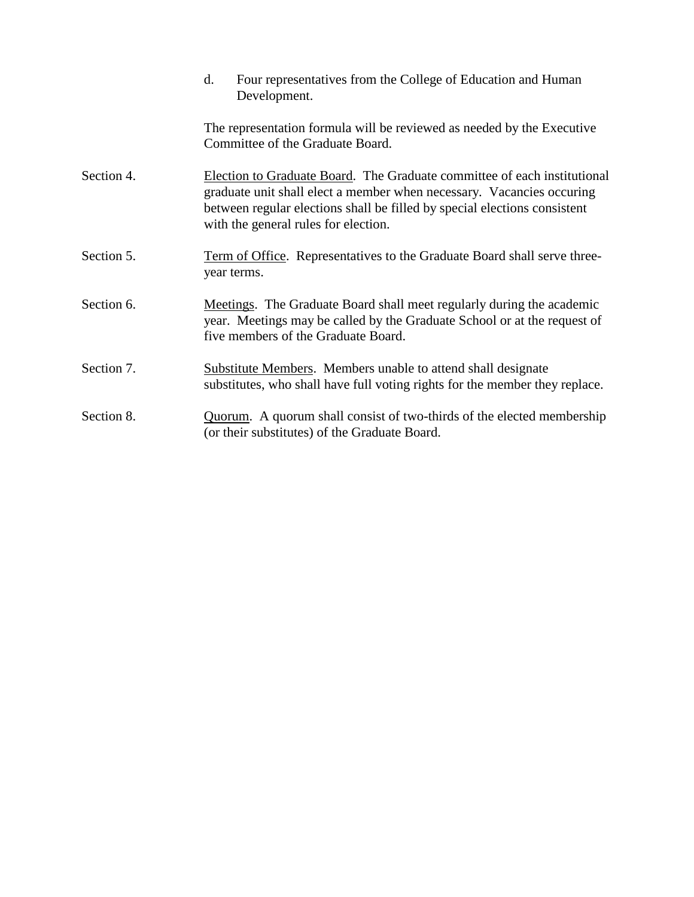|            | Four representatives from the College of Education and Human<br>d.<br>Development.                                                                                                                                                                                     |  |  |
|------------|------------------------------------------------------------------------------------------------------------------------------------------------------------------------------------------------------------------------------------------------------------------------|--|--|
|            | The representation formula will be reviewed as needed by the Executive<br>Committee of the Graduate Board.                                                                                                                                                             |  |  |
| Section 4. | Election to Graduate Board. The Graduate committee of each institutional<br>graduate unit shall elect a member when necessary. Vacancies occuring<br>between regular elections shall be filled by special elections consistent<br>with the general rules for election. |  |  |
| Section 5. | Term of Office. Representatives to the Graduate Board shall serve three-<br>year terms.                                                                                                                                                                                |  |  |
| Section 6. | Meetings. The Graduate Board shall meet regularly during the academic<br>year. Meetings may be called by the Graduate School or at the request of<br>five members of the Graduate Board.                                                                               |  |  |
| Section 7. | <b>Substitute Members.</b> Members unable to attend shall designate<br>substitutes, who shall have full voting rights for the member they replace.                                                                                                                     |  |  |
| Section 8. | Quorum. A quorum shall consist of two-thirds of the elected membership<br>(or their substitutes) of the Graduate Board.                                                                                                                                                |  |  |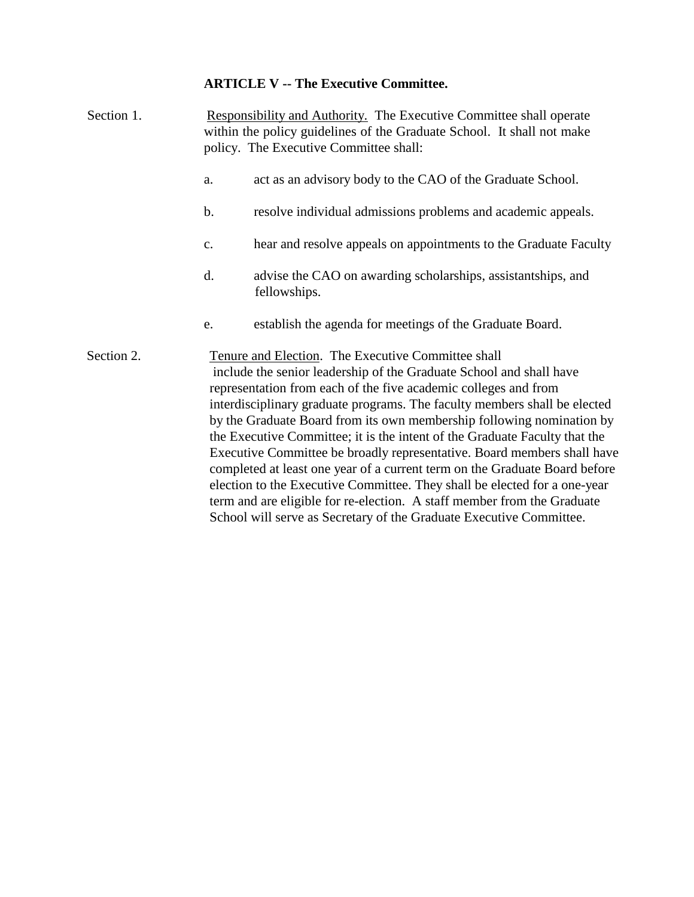#### **ARTICLE V -- The Executive Committee.**

Section 1. Responsibility and Authority. The Executive Committee shall operate within the policy guidelines of the Graduate School. It shall not make policy. The Executive Committee shall: a. act as an advisory body to the CAO of the Graduate School. b. resolve individual admissions problems and academic appeals. c. hear and resolve appeals on appointments to the Graduate Faculty d. advise the CAO on awarding scholarships, assistantships, and fellowships. e. establish the agenda for meetings of the Graduate Board. Section 2. Tenure and Election. The Executive Committee shall include the senior leadership of the Graduate School and shall have representation from each of the five academic colleges and from interdisciplinary graduate programs. The faculty members shall be elected by the Graduate Board from its own membership following nomination by the Executive Committee; it is the intent of the Graduate Faculty that the Executive Committee be broadly representative. Board members shall have

completed at least one year of a current term on the Graduate Board before election to the Executive Committee. They shall be elected for a one-year term and are eligible for re-election. A staff member from the Graduate School will serve as Secretary of the Graduate Executive Committee.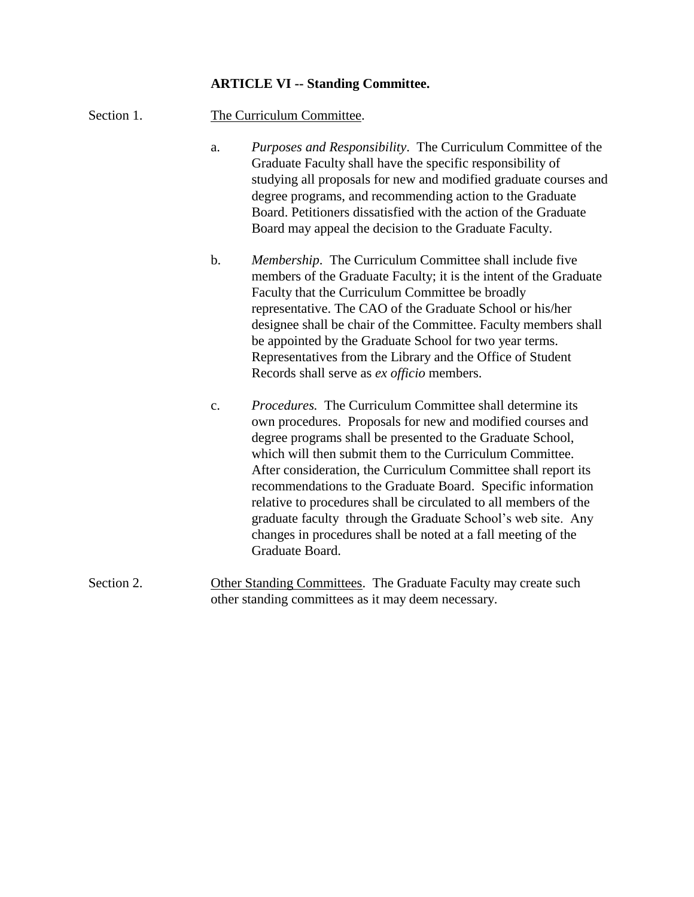#### **ARTICLE VI -- Standing Committee.**

- Section 1. The Curriculum Committee.
	- a. *Purposes and Responsibility*. The Curriculum Committee of the Graduate Faculty shall have the specific responsibility of studying all proposals for new and modified graduate courses and degree programs, and recommending action to the Graduate Board. Petitioners dissatisfied with the action of the Graduate Board may appeal the decision to the Graduate Faculty.
	- b. *Membership*. The Curriculum Committee shall include five members of the Graduate Faculty; it is the intent of the Graduate Faculty that the Curriculum Committee be broadly representative. The CAO of the Graduate School or his/her designee shall be chair of the Committee. Faculty members shall be appointed by the Graduate School for two year terms. Representatives from the Library and the Office of Student Records shall serve as *ex officio* members.
	- c. *Procedures.* The Curriculum Committee shall determine its own procedures. Proposals for new and modified courses and degree programs shall be presented to the Graduate School, which will then submit them to the Curriculum Committee. After consideration, the Curriculum Committee shall report its recommendations to the Graduate Board. Specific information relative to procedures shall be circulated to all members of the graduate faculty through the Graduate School's web site. Any changes in procedures shall be noted at a fall meeting of the Graduate Board.
- Section 2. Other Standing Committees. The Graduate Faculty may create such other standing committees as it may deem necessary.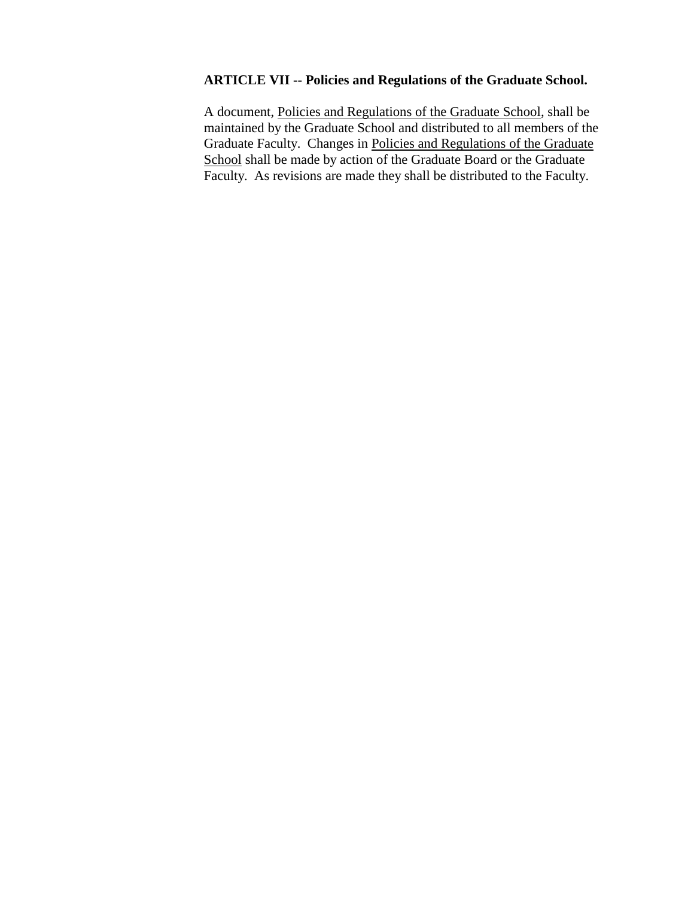## **ARTICLE VII -- Policies and Regulations of the Graduate School.**

A document, Policies and Regulations of the Graduate School, shall be maintained by the Graduate School and distributed to all members of the Graduate Faculty. Changes in Policies and Regulations of the Graduate School shall be made by action of the Graduate Board or the Graduate Faculty. As revisions are made they shall be distributed to the Faculty.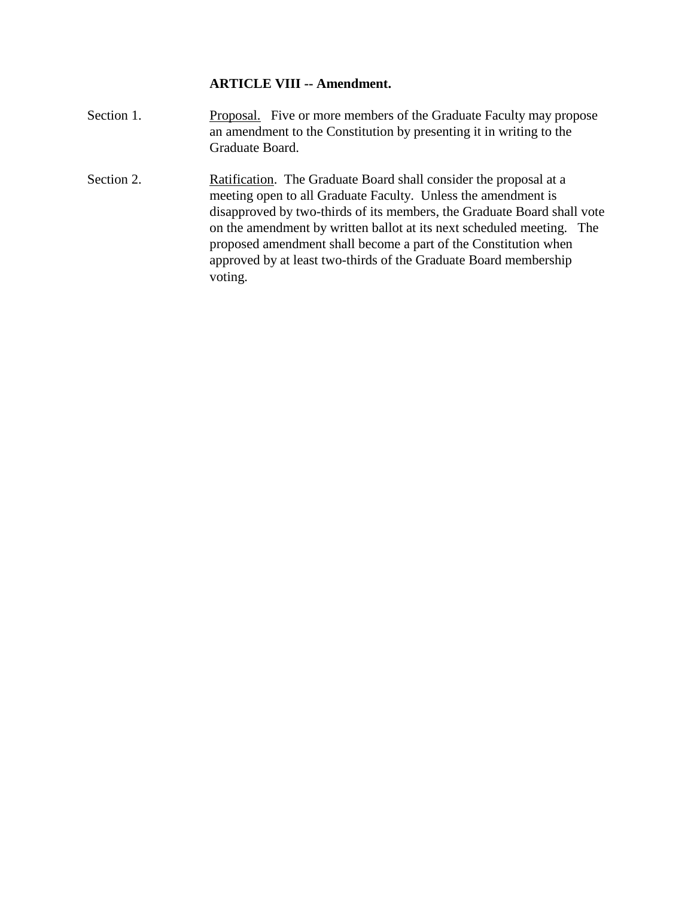## **ARTICLE VIII -- Amendment.**

- Section 1. Proposal. Five or more members of the Graduate Faculty may propose an amendment to the Constitution by presenting it in writing to the Graduate Board.
- Section 2. Ratification. The Graduate Board shall consider the proposal at a meeting open to all Graduate Faculty. Unless the amendment is disapproved by two-thirds of its members, the Graduate Board shall vote on the amendment by written ballot at its next scheduled meeting. The proposed amendment shall become a part of the Constitution when approved by at least two-thirds of the Graduate Board membership voting.